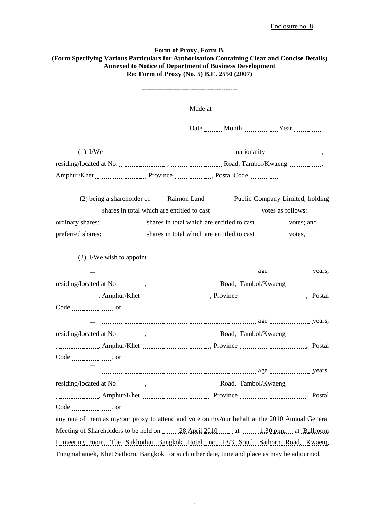## **Form of Proxy, Form B. (Form Specifying Various Particulars for Authorisation Containing Clear and Concise Details) Annexed to Notice of Department of Business Development Re: Form of Proxy (No. 5) B.E. 2550 (2007)**

|                            | ----------------------------------                                                                                                                                                                                                                                                                                                                                                                                                                                                                                                         |
|----------------------------|--------------------------------------------------------------------------------------------------------------------------------------------------------------------------------------------------------------------------------------------------------------------------------------------------------------------------------------------------------------------------------------------------------------------------------------------------------------------------------------------------------------------------------------------|
|                            |                                                                                                                                                                                                                                                                                                                                                                                                                                                                                                                                            |
|                            |                                                                                                                                                                                                                                                                                                                                                                                                                                                                                                                                            |
|                            |                                                                                                                                                                                                                                                                                                                                                                                                                                                                                                                                            |
|                            |                                                                                                                                                                                                                                                                                                                                                                                                                                                                                                                                            |
|                            | Amphur/Khet ______________________, Province _______________, Postal Code _____________                                                                                                                                                                                                                                                                                                                                                                                                                                                    |
|                            | (2) being a shareholder of ______ Raimon Land ____________ Public Company Limited, holding<br>shares in total which are entitled to cast with the state of the state of the state state of the state of the state of the state state of the state state of the state state of the state state of the state state state state<br>ordinary shares: _________________ shares in total which are entitled to cast ____________ votes; and<br>preferred shares: <i>mmmmmmmm</i> shares in total which are entitled to cast <i>mmmmmm</i> votes, |
| $(3)$ I/We wish to appoint |                                                                                                                                                                                                                                                                                                                                                                                                                                                                                                                                            |
|                            |                                                                                                                                                                                                                                                                                                                                                                                                                                                                                                                                            |
|                            |                                                                                                                                                                                                                                                                                                                                                                                                                                                                                                                                            |
|                            |                                                                                                                                                                                                                                                                                                                                                                                                                                                                                                                                            |
| $Code$ <sub>1</sub> , or   |                                                                                                                                                                                                                                                                                                                                                                                                                                                                                                                                            |
|                            |                                                                                                                                                                                                                                                                                                                                                                                                                                                                                                                                            |
|                            |                                                                                                                                                                                                                                                                                                                                                                                                                                                                                                                                            |
|                            |                                                                                                                                                                                                                                                                                                                                                                                                                                                                                                                                            |
|                            |                                                                                                                                                                                                                                                                                                                                                                                                                                                                                                                                            |
|                            |                                                                                                                                                                                                                                                                                                                                                                                                                                                                                                                                            |
|                            |                                                                                                                                                                                                                                                                                                                                                                                                                                                                                                                                            |
|                            |                                                                                                                                                                                                                                                                                                                                                                                                                                                                                                                                            |
|                            |                                                                                                                                                                                                                                                                                                                                                                                                                                                                                                                                            |
|                            | any one of them as my/our proxy to attend and vote on my/our behalf at the 2010 Annual General                                                                                                                                                                                                                                                                                                                                                                                                                                             |
|                            | Meeting of Shareholders to be held on 28 April 2010 at 1:30 p.m. at Ballroom                                                                                                                                                                                                                                                                                                                                                                                                                                                               |
|                            | I meeting room, The Sukhothai Bangkok Hotel, no. 13/3 South Sathorn Road, Kwaeng                                                                                                                                                                                                                                                                                                                                                                                                                                                           |
|                            | Tungmahamek, Khet Sathorn, Bangkok or such other date, time and place as may be adjourned.                                                                                                                                                                                                                                                                                                                                                                                                                                                 |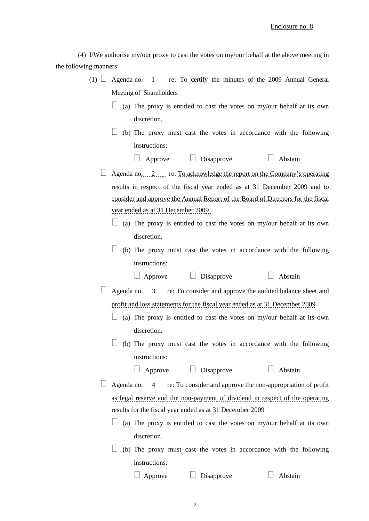(4) I/We authorise my/our proxy to cast the votes on my/our behalf at the above meeting in the following manners:

| $(1) \Box$ | Agenda no. 1 re: To certify the minutes of the 2009 Annual General                                                                                                                                                             |
|------------|--------------------------------------------------------------------------------------------------------------------------------------------------------------------------------------------------------------------------------|
|            | Meeting of Shareholders [11] Meeting of Shareholders and the continuum contract of the state of the state of the state of the state of the state of the state of the state of the state of the state of the state of the state |
|            | (a) The proxy is entitled to cast the votes on my/our behalf at its own                                                                                                                                                        |
|            | discretion.                                                                                                                                                                                                                    |
|            | (b) The proxy must cast the votes in accordance with the following                                                                                                                                                             |
|            | instructions:                                                                                                                                                                                                                  |
|            | Approve $\Box$ Disapprove<br>$\Box$ Abstain                                                                                                                                                                                    |
|            | Agenda no. 2  re: To acknowledge the report on the Company's operating                                                                                                                                                         |
|            | results in respect of the fiscal year ended as at 31 December 2009 and to                                                                                                                                                      |
|            | consider and approve the Annual Report of the Board of Directors for the fiscal                                                                                                                                                |
|            | year ended as at 31 December 2009                                                                                                                                                                                              |
|            | $\Box$ (a) The proxy is entitled to cast the votes on my/our behalf at its own                                                                                                                                                 |
|            | discretion.                                                                                                                                                                                                                    |
|            | (b) The proxy must cast the votes in accordance with the following                                                                                                                                                             |
|            | instructions:                                                                                                                                                                                                                  |
|            | $\Box$ Approve $\Box$ Disapprove<br>Abstain                                                                                                                                                                                    |
|            | Agenda no. 3 re: To consider and approve the audited balance sheet and                                                                                                                                                         |
|            | profit and loss statements for the fiscal year ended as at 31 December 2009                                                                                                                                                    |
|            | (a) The proxy is entitled to cast the votes on my/our behalf at its own                                                                                                                                                        |
|            | discretion.                                                                                                                                                                                                                    |
|            | (b) The proxy must cast the votes in accordance with the following                                                                                                                                                             |
|            | instructions:                                                                                                                                                                                                                  |
|            | $\Box$ Disapprove<br>Abstain<br>Approve                                                                                                                                                                                        |
|            | Agenda no. 4 re: To consider and approve the non-appropriation of profit                                                                                                                                                       |
|            | as legal reserve and the non-payment of dividend in respect of the operating                                                                                                                                                   |
|            | results for the fiscal year ended as at 31 December 2009                                                                                                                                                                       |
|            | (a) The proxy is entitled to cast the votes on my/our behalf at its own                                                                                                                                                        |
|            | discretion.                                                                                                                                                                                                                    |
|            | (b) The proxy must cast the votes in accordance with the following                                                                                                                                                             |
|            | instructions:                                                                                                                                                                                                                  |
|            | Abstain<br>Approve<br>Disapprove                                                                                                                                                                                               |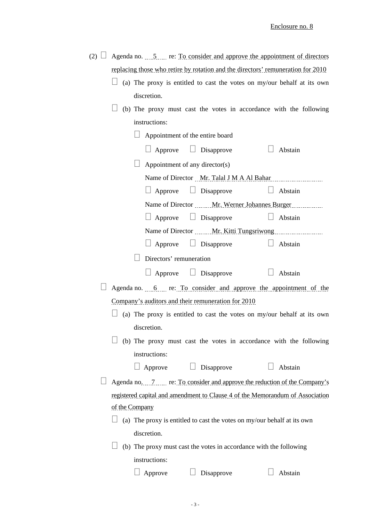| (2) $\Box$ Agenda no. 5. To consider and approve the appointment of directors   |  |  |  |  |
|---------------------------------------------------------------------------------|--|--|--|--|
| replacing those who retire by rotation and the directors' remuneration for 2010 |  |  |  |  |

- $\Box$  (a) The proxy is entitled to cast the votes on my/our behalf at its own discretion.
- $\Box$  (b) The proxy must cast the votes in accordance with the following instructions:

|                | 111511 UU 110115.                                                       |                                  |                                                                                      |
|----------------|-------------------------------------------------------------------------|----------------------------------|--------------------------------------------------------------------------------------|
|                | Appointment of the entire board                                         |                                  |                                                                                      |
|                | $\Box$ Approve $\Box$ Disapprove                                        |                                  | $\Box$ Abstain                                                                       |
|                | Appointment of any director(s)                                          |                                  |                                                                                      |
|                |                                                                         |                                  | Name of Director Mr. Talal J M A Al Bahar                                            |
|                |                                                                         | $\Box$ Approve $\Box$ Disapprove | Abstain                                                                              |
|                |                                                                         |                                  | Name of Director Mr. Werner Johannes Burger                                          |
|                | $\Box$ Approve $\Box$ Disapprove                                        |                                  | $\Box$ Abstain                                                                       |
|                |                                                                         |                                  |                                                                                      |
|                |                                                                         | $\Box$ Approve $\Box$ Disapprove | $\Box$ Abstain                                                                       |
|                | Directors' remuneration                                                 |                                  |                                                                                      |
|                |                                                                         | $\Box$ Approve $\Box$ Disapprove | Abstain                                                                              |
|                |                                                                         |                                  | Agenda no. 6. Following the consider and approve the appointment of the              |
|                | Company's auditors and their remuneration for 2010                      |                                  |                                                                                      |
|                |                                                                         |                                  | (a) The proxy is entitled to cast the votes on my/our behalf at its own              |
|                | discretion.                                                             |                                  |                                                                                      |
|                |                                                                         |                                  | (b) The proxy must cast the votes in accordance with the following                   |
|                | instructions:                                                           |                                  |                                                                                      |
|                | $\Box$ Approve $\Box$ Disapprove                                        |                                  | Abstain                                                                              |
|                |                                                                         |                                  | Agenda no. 7. The results of the consider and approve the reduction of the Company's |
|                |                                                                         |                                  | registered capital and amendment to Clause 4 of the Memorandum of Association        |
| of the Company |                                                                         |                                  |                                                                                      |
|                | (a) The proxy is entitled to cast the votes on my/our behalf at its own |                                  |                                                                                      |
|                | discretion.                                                             |                                  |                                                                                      |
|                | (b) The proxy must cast the votes in accordance with the following      |                                  |                                                                                      |
|                | instructions:                                                           |                                  |                                                                                      |
|                | Approve                                                                 | Disapprove                       | Abstain                                                                              |
|                |                                                                         |                                  |                                                                                      |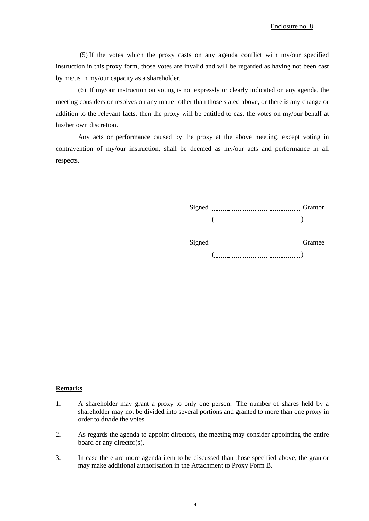(5) If the votes which the proxy casts on any agenda conflict with my/our specified instruction in this proxy form, those votes are invalid and will be regarded as having not been cast by me/us in my/our capacity as a shareholder.

(6) If my/our instruction on voting is not expressly or clearly indicated on any agenda, the meeting considers or resolves on any matter other than those stated above, or there is any change or addition to the relevant facts, then the proxy will be entitled to cast the votes on my/our behalf at his/her own discretion.

Any acts or performance caused by the proxy at the above meeting, except voting in contravention of my/our instruction, shall be deemed as my/our acts and performance in all respects.

> Signed Grantor ( )

> Signed Grantee Grantee  $\left(\begin{array}{ccc} \begin{array}{ccc} \end{array} & \begin{array}{ccc} \end{array} & \begin{array}{ccc} \end{array} & \begin{array}{ccc} \end{array} & \begin{array}{ccc} \end{array} & \begin{array}{ccc} \end{array} & \begin{array}{ccc} \end{array} & \begin{array}{ccc} \end{array} & \begin{array}{ccc} \end{array} & \begin{array}{ccc} \end{array} & \begin{array}{ccc} \end{array} & \begin{array}{ccc} \end{array} & \begin{array}{ccc} \end{array} & \begin{array}{ccc} \end{array} & \begin{array}{ccc} \end{array} & \begin{array}{ccc} \end{array} & \begin{$

## **Remarks**

- 1. A shareholder may grant a proxy to only one person. The number of shares held by a shareholder may not be divided into several portions and granted to more than one proxy in order to divide the votes.
- 2. As regards the agenda to appoint directors, the meeting may consider appointing the entire board or any director(s).
- 3. In case there are more agenda item to be discussed than those specified above, the grantor may make additional authorisation in the Attachment to Proxy Form B.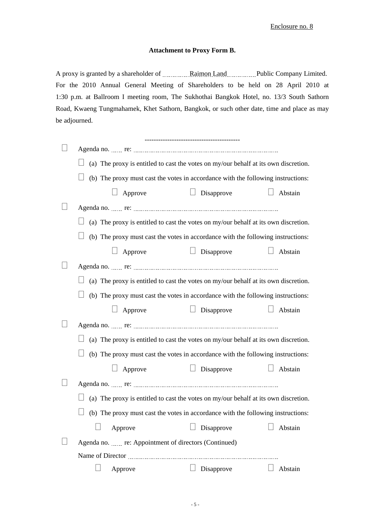## Enclosure no. 8

## **Attachment to Proxy Form B.**

A proxy is granted by a shareholder of **Raimon Land Public Company Limited.** For the 2010 Annual General Meeting of Shareholders to be held on 28 April 2010 at 1:30 p.m. at Ballroom I meeting room, The Sukhothai Bangkok Hotel, no. 13/3 South Sathorn Road, Kwaeng Tungmahamek, Khet Sathorn, Bangkok, or such other date, time and place as may be adjourned.

|                                                                                            | ------------------------------------- |                   |
|--------------------------------------------------------------------------------------------|---------------------------------------|-------------------|
|                                                                                            |                                       |                   |
| (a) The proxy is entitled to cast the votes on my/our behalf at its own discretion.        |                                       |                   |
| (b) The proxy must cast the votes in accordance with the following instructions:           |                                       |                   |
| $\Box$ Approve                                                                             | $\Box$ Disapprove                     | Abstain           |
|                                                                                            |                                       |                   |
| (a) The proxy is entitled to cast the votes on my/our behalf at its own discretion.        |                                       |                   |
| (b) The proxy must cast the votes in accordance with the following instructions:           |                                       |                   |
| $\Box$ Approve                                                                             | $\Box$ Disapprove                     | Abstain<br>$\Box$ |
|                                                                                            |                                       |                   |
| (a) The proxy is entitled to cast the votes on my/our behalf at its own discretion.        |                                       |                   |
| (b) The proxy must cast the votes in accordance with the following instructions:           |                                       |                   |
| $\Box$ Approve                                                                             | $\Box$ Disapprove                     | Abstain           |
|                                                                                            |                                       |                   |
| (a) The proxy is entitled to cast the votes on my/our behalf at its own discretion.        |                                       |                   |
| (b) The proxy must cast the votes in accordance with the following instructions:           |                                       |                   |
| $\Box$ Approve                                                                             | $\Box$ Disapprove                     | Abstain<br>$\Box$ |
|                                                                                            |                                       |                   |
| $\Box$ (a) The proxy is entitled to cast the votes on my/our behalf at its own discretion. |                                       |                   |
| $\Box$ (b) The proxy must cast the votes in accordance with the following instructions:    |                                       |                   |
|                                                                                            |                                       |                   |
| Approve                                                                                    | Disapprove                            | Abstain           |
| Agenda no.  re: Appointment of directors (Continued)                                       |                                       |                   |
|                                                                                            |                                       |                   |